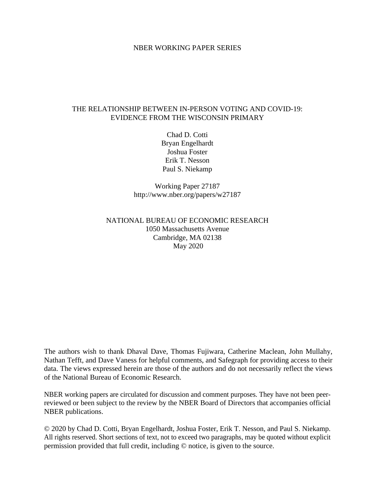## NBER WORKING PAPER SERIES

## THE RELATIONSHIP BETWEEN IN-PERSON VOTING AND COVID-19: EVIDENCE FROM THE WISCONSIN PRIMARY

Chad D. Cotti Bryan Engelhardt Joshua Foster Erik T. Nesson Paul S. Niekamp

Working Paper 27187 http://www.nber.org/papers/w27187

# NATIONAL BUREAU OF ECONOMIC RESEARCH 1050 Massachusetts Avenue Cambridge, MA 02138 May 2020

The authors wish to thank Dhaval Dave, Thomas Fujiwara, Catherine Maclean, John Mullahy, Nathan Tefft, and Dave Vaness for helpful comments, and Safegraph for providing access to their data. The views expressed herein are those of the authors and do not necessarily reflect the views of the National Bureau of Economic Research.

NBER working papers are circulated for discussion and comment purposes. They have not been peerreviewed or been subject to the review by the NBER Board of Directors that accompanies official NBER publications.

© 2020 by Chad D. Cotti, Bryan Engelhardt, Joshua Foster, Erik T. Nesson, and Paul S. Niekamp. All rights reserved. Short sections of text, not to exceed two paragraphs, may be quoted without explicit permission provided that full credit, including © notice, is given to the source.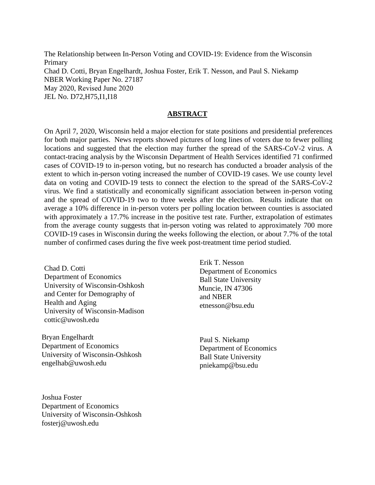The Relationship between In-Person Voting and COVID-19: Evidence from the Wisconsin Primary Chad D. Cotti, Bryan Engelhardt, Joshua Foster, Erik T. Nesson, and Paul S. Niekamp NBER Working Paper No. 27187 May 2020, Revised June 2020 JEL No. D72,H75,I1,I18

## **ABSTRACT**

On April 7, 2020, Wisconsin held a major election for state positions and presidential preferences for both major parties. News reports showed pictures of long lines of voters due to fewer polling locations and suggested that the election may further the spread of the SARS-CoV-2 virus. A contact-tracing analysis by the Wisconsin Department of Health Services identified 71 confirmed cases of COVID-19 to in-person voting, but no research has conducted a broader analysis of the extent to which in-person voting increased the number of COVID-19 cases. We use county level data on voting and COVID-19 tests to connect the election to the spread of the SARS-CoV-2 virus. We find a statistically and economically significant association between in-person voting and the spread of COVID-19 two to three weeks after the election. Results indicate that on average a 10% difference in in-person voters per polling location between counties is associated with approximately a 17.7% increase in the positive test rate. Further, extrapolation of estimates from the average county suggests that in-person voting was related to approximately 700 more COVID-19 cases in Wisconsin during the weeks following the election, or about 7.7% of the total number of confirmed cases during the five week post-treatment time period studied.

Chad D. Cotti Department of Economics University of Wisconsin-Oshkosh and Center for Demography of Health and Aging University of Wisconsin-Madison cottic@uwosh.edu

Bryan Engelhardt Department of Economics University of Wisconsin-Oshkosh engelhab@uwosh.edu

Erik T. Nesson Department of Economics Ball State University Muncie, IN 47306 and NBER etnesson@bsu.edu

Paul S. Niekamp Department of Economics Ball State University pniekamp@bsu.edu

Joshua Foster Department of Economics University of Wisconsin-Oshkosh fosterj@uwosh.edu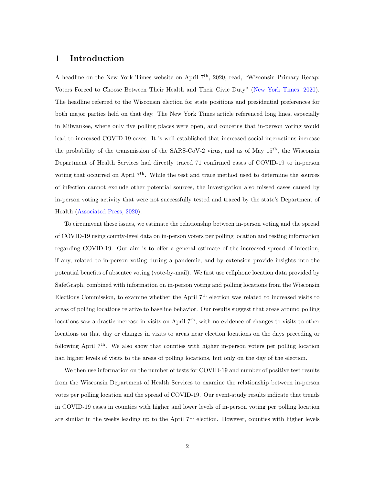# 1 Introduction

A headline on the New York Times website on April 7<sup>th</sup>, 2020, read, "Wisconsin Primary Recap: Voters Forced to Choose Between Their Health and Their Civic Duty" [\(New York Times,](#page-17-0) [2020\)](#page-17-0). The headline referred to the Wisconsin election for state positions and presidential preferences for both major parties held on that day. The New York Times article referenced long lines, especially in Milwaukee, where only five polling places were open, and concerns that in-person voting would lead to increased COVID-19 cases. It is well established that increased social interactions increase the probability of the transmission of the SARS-CoV-2 virus, and as of May  $15<sup>th</sup>$ , the Wisconsin Department of Health Services had directly traced 71 confirmed cases of COVID-19 to in-person voting that occurred on April 7<sup>th</sup>. While the test and trace method used to determine the sources of infection cannot exclude other potential sources, the investigation also missed cases caused by in-person voting activity that were not successfully tested and traced by the state's Department of Health [\(Associated Press,](#page-16-0) [2020\)](#page-16-0).

To circumvent these issues, we estimate the relationship between in-person voting and the spread of COVID-19 using county-level data on in-person voters per polling location and testing information regarding COVID-19. Our aim is to offer a general estimate of the increased spread of infection, if any, related to in-person voting during a pandemic, and by extension provide insights into the potential benefits of absentee voting (vote-by-mail). We first use cellphone location data provided by SafeGraph, combined with information on in-person voting and polling locations from the Wisconsin Elections Commission, to examine whether the April 7<sup>th</sup> election was related to increased visits to areas of polling locations relative to baseline behavior. Our results suggest that areas around polling locations saw a drastic increase in visits on April  $7<sup>th</sup>$ , with no evidence of changes to visits to other locations on that day or changes in visits to areas near election locations on the days preceding or following April  $7<sup>th</sup>$ . We also show that counties with higher in-person voters per polling location had higher levels of visits to the areas of polling locations, but only on the day of the election.

We then use information on the number of tests for COVID-19 and number of positive test results from the Wisconsin Department of Health Services to examine the relationship between in-person votes per polling location and the spread of COVID-19. Our event-study results indicate that trends in COVID-19 cases in counties with higher and lower levels of in-person voting per polling location are similar in the weeks leading up to the April  $7<sup>th</sup>$  election. However, counties with higher levels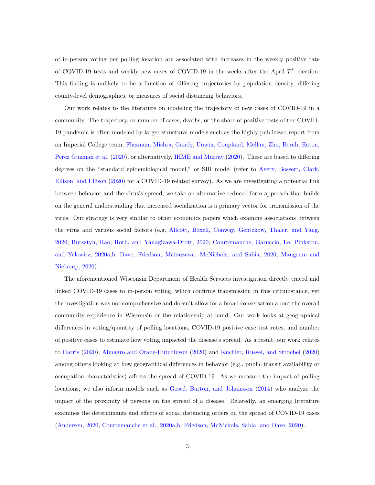of in-person voting per polling location are associated with increases in the weekly positive rate of COVID-19 tests and weekly new cases of COVID-19 in the weeks after the April 7<sup>th</sup> election. This finding is unlikely to be a function of differing trajectories by population density, differing county-level demographics, or measures of social distancing behaviors.

Our work relates to the literature on modeling the trajectory of new cases of COVID-19 in a community. The trajectory, or number of cases, deaths, or the share of positive tests of the COVID-19 pandemic is often modeled by larger structural models such as the highly publicized report from an Imperial College team, [Flaxman, Mishra, Gandy, Unwin, Coupland, Mellan, Zhu, Berah, Eaton,](#page-16-1) [Perez Guzman et al.](#page-16-1) [\(2020\)](#page-16-1), or alternatively, [IHME and Murray](#page-17-1) [\(2020\)](#page-17-1). These are based to differing degrees on the "standard epidemiological model," or SIR model (refer to [Avery, Bossert, Clark,](#page-16-2) [Ellison, and Ellison](#page-16-2) [\(2020\)](#page-16-2) for a COVID-19 related survey). As we are investigating a potential link between behavior and the virus's spread, we take an alternative reduced-form approach that builds on the general understanding that increased socialization is a primary vector for transmission of the virus. Our strategy is very similar to other economics papers which examine associations between the virus and various social factors (e.g. [Allcott, Boxell, Conway, Gentzkow, Thaler, and Yang,](#page-15-0) [2020;](#page-15-0) [Bursztyn, Rao, Roth, and Yanagizawa-Drott,](#page-16-3) [2020;](#page-16-3) [Courtemanche, Garuccio, Le, Pinkston,](#page-16-4) [and Yelowitz,](#page-16-4) [2020a,](#page-16-4)[b;](#page-16-5) [Dave, Friedson, Matsuzawa, McNichols, and Sabia,](#page-16-6) [2020;](#page-16-6) [Mangrum and](#page-17-2) [Niekamp,](#page-17-2) [2020\)](#page-17-2).

The aforementioned Wisconsin Department of Health Services investigation directly traced and linked COVID-19 cases to in-person voting, which confirms transmission in this circumstance, yet the investigation was not comprehensive and doesn't allow for a broad conversation about the overall community experience in Wisconsin or the relationship at hand. Our work looks at geographical differences in voting/quantity of polling locations, COVID-19 positive case test rates, and number of positive cases to estimate how voting impacted the disease's spread. As a result, our work relates to [Harris](#page-17-3) [\(2020\)](#page-17-3), [Almagro and Orane-Hutchinson](#page-15-1) [\(2020\)](#page-15-1) and [Kuchler, Russel, and Stroebel](#page-17-4) [\(2020\)](#page-17-4) among others looking at how geographical differences in behavior (e.g., public transit availability or occupation characteristics) affects the spread of COVID-19. As we measure the impact of polling locations, we also inform models such as Goscé, Barton, and Johansson [\(2014\)](#page-17-5) who analyze the impact of the proximity of persons on the spread of a disease. Relatedly, an emerging literature examines the determinants and effects of social distancing orders on the spread of COVID-19 cases [\(Andersen,](#page-16-7) [2020;](#page-16-7) [Courtemanche et al.,](#page-16-4) [2020a,](#page-16-4)[b;](#page-16-5) [Friedson, McNichols, Sabia, and Dave,](#page-16-8) [2020\)](#page-16-8).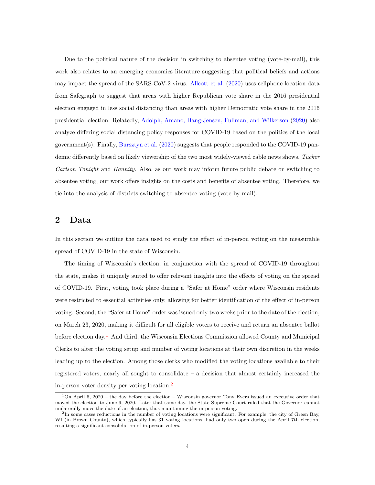Due to the political nature of the decision in switching to absentee voting (vote-by-mail), this work also relates to an emerging economics literature suggesting that political beliefs and actions may impact the spread of the SARS-CoV-2 virus. [Allcott et al.](#page-15-0) [\(2020\)](#page-15-0) uses cellphone location data from Safegraph to suggest that areas with higher Republican vote share in the 2016 presidential election engaged in less social distancing than areas with higher Democratic vote share in the 2016 presidential election. Relatedly, [Adolph, Amano, Bang-Jensen, Fullman, and Wilkerson](#page-15-2) [\(2020\)](#page-15-2) also analyze differing social distancing policy responses for COVID-19 based on the politics of the local government(s). Finally, [Bursztyn et al.](#page-16-3) [\(2020\)](#page-16-3) suggests that people responded to the COVID-19 pandemic differently based on likely viewership of the two most widely-viewed cable news shows, Tucker Carlson Tonight and Hannity. Also, as our work may inform future public debate on switching to absentee voting, our work offers insights on the costs and benefits of absentee voting. Therefore, we tie into the analysis of districts switching to absentee voting (vote-by-mail).

## 2 Data

In this section we outline the data used to study the effect of in-person voting on the measurable spread of COVID-19 in the state of Wisconsin.

The timing of Wisconsin's election, in conjunction with the spread of COVID-19 throughout the state, makes it uniquely suited to offer relevant insights into the effects of voting on the spread of COVID-19. First, voting took place during a "Safer at Home" order where Wisconsin residents were restricted to essential activities only, allowing for better identification of the effect of in-person voting. Second, the "Safer at Home" order was issued only two weeks prior to the date of the election, on March 23, 2020, making it difficult for all eligible voters to receive and return an absentee ballot before election day.<sup>[1](#page-4-0)</sup> And third, the Wisconsin Elections Commission allowed County and Municipal Clerks to alter the voting setup and number of voting locations at their own discretion in the weeks leading up to the election. Among those clerks who modified the voting locations available to their registered voters, nearly all sought to consolidate – a decision that almost certainly increased the in-person voter density per voting location.[2](#page-4-1)

<span id="page-4-0"></span><sup>&</sup>lt;sup>1</sup>On April 6, 2020 – the day before the election – Wisconsin governor Tony Evers issued an executive order that moved the election to June 9, 2020. Later that same day, the State Supreme Court ruled that the Governor cannot unilaterally move the date of an election, thus maintaining the in-person voting.

<span id="page-4-1"></span><sup>&</sup>lt;sup>2</sup>In some cases reductions in the number of voting locations were significant. For example, the city of Green Bay, WI (in Brown County), which typically has 31 voting locations, had only two open during the April 7th election, resulting a significant consolidation of in-person voters.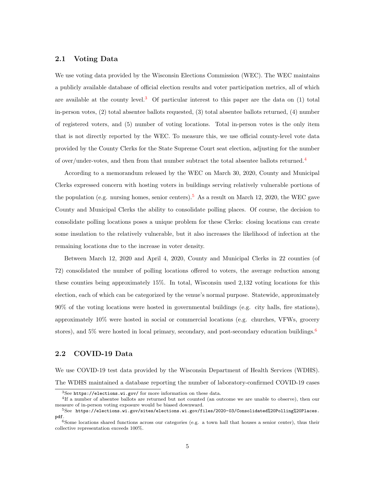#### <span id="page-5-4"></span>2.1 Voting Data

We use voting data provided by the Wisconsin Elections Commission (WEC). The WEC maintains a publicly available database of official election results and voter participation metrics, all of which are available at the county level.<sup>[3](#page-5-0)</sup> Of particular interest to this paper are the data on  $(1)$  total in-person votes, (2) total absentee ballots requested, (3) total absentee ballots returned, (4) number of registered voters, and (5) number of voting locations. Total in-person votes is the only item that is not directly reported by the WEC. To measure this, we use official county-level vote data provided by the County Clerks for the State Supreme Court seat election, adjusting for the number of over/under-votes, and then from that number subtract the total absentee ballots returned.<sup>[4](#page-5-1)</sup>

According to a memorandum released by the WEC on March 30, 2020, County and Municipal Clerks expressed concern with hosting voters in buildings serving relatively vulnerable portions of the population (e.g. nursing homes, senior centers).<sup>[5](#page-5-2)</sup> As a result on March 12, 2020, the WEC gave County and Municipal Clerks the ability to consolidate polling places. Of course, the decision to consolidate polling locations poses a unique problem for these Clerks: closing locations can create some insulation to the relatively vulnerable, but it also increases the likelihood of infection at the remaining locations due to the increase in voter density.

Between March 12, 2020 and April 4, 2020, County and Municipal Clerks in 22 counties (of 72) consolidated the number of polling locations offered to voters, the average reduction among these counties being approximately 15%. In total, Wisconsin used 2,132 voting locations for this election, each of which can be categorized by the venue's normal purpose. Statewide, approximately 90% of the voting locations were hosted in governmental buildings (e.g. city halls, fire stations), approximately 10% were hosted in social or commercial locations (e.g. churches, VFWs, grocery stores), and  $5\%$  were hosted in local primary, secondary, and post-secondary education buildings.<sup>[6](#page-5-3)</sup>

#### 2.2 COVID-19 Data

We use COVID-19 test data provided by the Wisconsin Department of Health Services (WDHS). The WDHS maintained a database reporting the number of laboratory-confirmed COVID-19 cases

<span id="page-5-1"></span><span id="page-5-0"></span><sup>3</sup>See <https://elections.wi.gov/> for more information on these data.

<sup>4</sup> If a number of absentee ballots are returned but not counted (an outcome we are unable to observe), then our measure of in-person voting exposure would be biased downward.

<span id="page-5-2"></span><sup>5</sup>See [https://elections.wi.gov/sites/elections.wi.gov/files/2020-03/Consolidated%20Polling%20Places.](https://elections.wi.gov/sites/elections.wi.gov/files/2020-03/Consolidated%20Polling%20Places.pdf) [pdf](https://elections.wi.gov/sites/elections.wi.gov/files/2020-03/Consolidated%20Polling%20Places.pdf).

<span id="page-5-3"></span> $6$ Some locations shared functions across our categories (e.g. a town hall that houses a senior center), thus their collective representation exceeds 100%.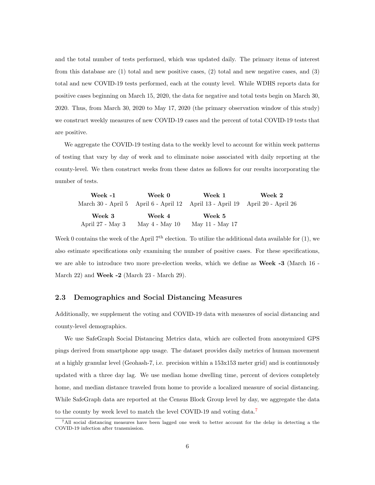and the total number of tests performed, which was updated daily. The primary items of interest from this database are  $(1)$  total and new positive cases,  $(2)$  total and new negative cases, and  $(3)$ total and new COVID-19 tests performed, each at the county level. While WDHS reports data for positive cases beginning on March 15, 2020, the data for negative and total tests begin on March 30, 2020. Thus, from March 30, 2020 to May 17, 2020 (the primary observation window of this study) we construct weekly measures of new COVID-19 cases and the percent of total COVID-19 tests that are positive.

We aggregate the COVID-19 testing data to the weekly level to account for within week patterns of testing that vary by day of week and to eliminate noise associated with daily reporting at the county-level. We then construct weeks from these dates as follows for our results incorporating the number of tests.

| Week -1          | Week 0         | Week 1                                                                        | Week 2 |
|------------------|----------------|-------------------------------------------------------------------------------|--------|
|                  |                | March 30 - April 5 April 6 - April 12 April 13 - April 19 April 20 - April 26 |        |
| Week 3           | Week 4         | Week 5                                                                        |        |
| April 27 - May 3 | May 4 - May 10 | May 11 - May 17                                                               |        |

Week 0 contains the week of the April  $7<sup>th</sup>$  election. To utilize the additional data available for (1), we also estimate specifications only examining the number of positive cases. For these specifications, we are able to introduce two more pre-election weeks, which we define as **Week -3** (March 16 -March 22) and Week -2 (March 23 - March 29).

#### 2.3 Demographics and Social Distancing Measures

Additionally, we supplement the voting and COVID-19 data with measures of social distancing and county-level demographics.

We use SafeGraph Social Distancing Metrics data, which are collected from anonymized GPS pings derived from smartphone app usage. The dataset provides daily metrics of human movement at a highly granular level (Geohash-7, i.e. precision within a 153x153 meter grid) and is continuously updated with a three day lag. We use median home dwelling time, percent of devices completely home, and median distance traveled from home to provide a localized measure of social distancing. While SafeGraph data are reported at the Census Block Group level by day, we aggregate the data to the county by week level to match the level COVID-19 and voting data.<sup>[7](#page-6-0)</sup>

<span id="page-6-0"></span><sup>7</sup>All social distancing measures have been lagged one week to better account for the delay in detecting a the COVID-19 infection after transmission.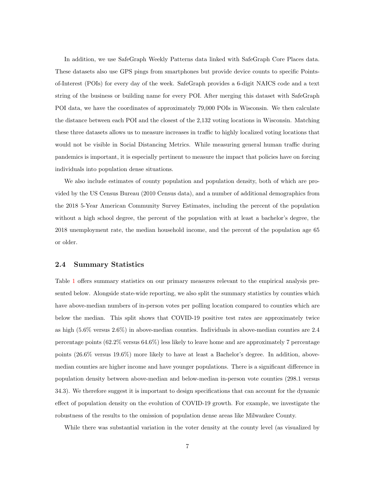In addition, we use SafeGraph Weekly Patterns data linked with SafeGraph Core Places data. These datasets also use GPS pings from smartphones but provide device counts to specific Pointsof-Interest (POIs) for every day of the week. SafeGraph provides a 6-digit NAICS code and a text string of the business or building name for every POI. After merging this dataset with SafeGraph POI data, we have the coordinates of approximately 79,000 POIs in Wisconsin. We then calculate the distance between each POI and the closest of the 2,132 voting locations in Wisconsin. Matching these three datasets allows us to measure increases in traffic to highly localized voting locations that would not be visible in Social Distancing Metrics. While measuring general human traffic during pandemics is important, it is especially pertinent to measure the impact that policies have on forcing individuals into population dense situations.

We also include estimates of county population and population density, both of which are provided by the US Census Bureau (2010 Census data), and a number of additional demographics from the 2018 5-Year American Community Survey Estimates, including the percent of the population without a high school degree, the percent of the population with at least a bachelor's degree, the 2018 unemployment rate, the median household income, and the percent of the population age 65 or older.

#### 2.4 Summary Statistics

Table [1](#page-22-0) offers summary statistics on our primary measures relevant to the empirical analysis presented below. Alongside state-wide reporting, we also split the summary statistics by counties which have above-median numbers of in-person votes per polling location compared to counties which are below the median. This split shows that COVID-19 positive test rates are approximately twice as high (5.6% versus 2.6%) in above-median counties. Individuals in above-median counties are 2.4 percentage points (62.2% versus 64.6%) less likely to leave home and are approximately 7 percentage points (26.6% versus 19.6%) more likely to have at least a Bachelor's degree. In addition, abovemedian counties are higher income and have younger populations. There is a significant difference in population density between above-median and below-median in-person vote counties (298.1 versus 34.3). We therefore suggest it is important to design specifications that can account for the dynamic effect of population density on the evolution of COVID-19 growth. For example, we investigate the robustness of the results to the omission of population dense areas like Milwaukee County.

While there was substantial variation in the voter density at the county level (as visualized by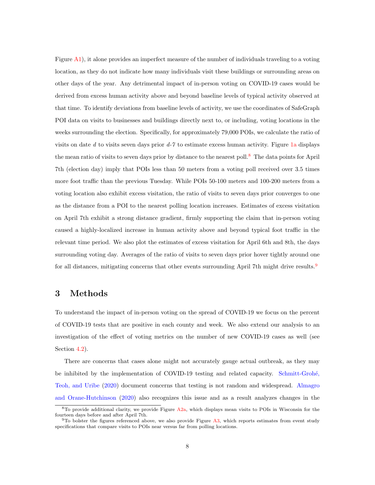Figure  $A1$ ), it alone provides an imperfect measure of the number of individuals traveling to a voting location, as they do not indicate how many individuals visit these buildings or surrounding areas on other days of the year. Any detrimental impact of in-person voting on COVID-19 cases would be derived from excess human activity above and beyond baseline levels of typical activity observed at that time. To identify deviations from baseline levels of activity, we use the coordinates of SafeGraph POI data on visits to businesses and buildings directly next to, or including, voting locations in the weeks surrounding the election. Specifically, for approximately 79,000 POIs, we calculate the ratio of visits on date d to visits seven days prior  $d-7$  to estimate excess human activity. Figure [1a](#page-19-0) displays the mean ratio of visits to seven days prior by distance to the nearest poll.<sup>[8](#page-8-0)</sup> The data points for April 7th (election day) imply that POIs less than 50 meters from a voting poll received over 3.5 times more foot traffic than the previous Tuesday. While POIs 50-100 meters and 100-200 meters from a voting location also exhibit excess visitation, the ratio of visits to seven days prior converges to one as the distance from a POI to the nearest polling location increases. Estimates of excess visitation on April 7th exhibit a strong distance gradient, firmly supporting the claim that in-person voting caused a highly-localized increase in human activity above and beyond typical foot traffic in the relevant time period. We also plot the estimates of excess visitation for April 6th and 8th, the days surrounding voting day. Averages of the ratio of visits to seven days prior hover tightly around one for all distances, mitigating concerns that other events surrounding April 7th might drive results.<sup>[9](#page-8-1)</sup>

# <span id="page-8-2"></span>3 Methods

To understand the impact of in-person voting on the spread of COVID-19 we focus on the percent of COVID-19 tests that are positive in each county and week. We also extend our analysis to an investigation of the effect of voting metrics on the number of new COVID-19 cases as well (see Section [4.2\)](#page-12-0).

There are concerns that cases alone might not accurately gauge actual outbreak, as they may be inhibited by the implementation of COVID-19 testing and related capacity. Schmitt-Grohé, [Teoh, and Uribe](#page-17-6) [\(2020\)](#page-17-6) document concerns that testing is not random and widespread. [Almagro](#page-15-1) [and Orane-Hutchinson](#page-15-1) [\(2020\)](#page-15-1) also recognizes this issue and as a result analyzes changes in the

<span id="page-8-0"></span> $8$ To provide additional clarity, we provide Figure [A2a,](#page-26-0) which displays mean visits to POIs in Wisconsin for the fourteen days before and after April 7th.

<span id="page-8-1"></span> $9T_0$  bolster the figures referenced above, we also provide Figure [A3,](#page-27-0) which reports estimates from event study specifications that compare visits to POIs near versus far from polling locations.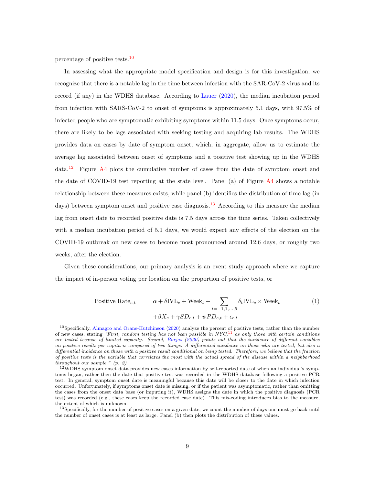percentage of positive tests.[10](#page-9-0)

In assessing what the appropriate model specification and design is for this investigation, we recognize that there is a notable lag in the time between infection with the SAR-CoV-2 virus and its record (if any) in the WDHS database. According to [Lauer](#page-17-7) [\(2020\)](#page-17-7), the median incubation period from infection with SARS-CoV-2 to onset of symptoms is approximately 5.1 days, with 97.5% of infected people who are symptomatic exhibiting symptoms within 11.5 days. Once symptoms occur, there are likely to be lags associated with seeking testing and acquiring lab results. The WDHS provides data on cases by date of symptom onset, which, in aggregate, allow us to estimate the average lag associated between onset of symptoms and a positive test showing up in the WDHS data.<sup>[12](#page-9-1)</sup> Figure  $\overline{A4}$  $\overline{A4}$  $\overline{A4}$  plots the cumulative number of cases from the date of symptom onset and the date of COVID-19 test reporting at the state level. Panel (a) of Figure [A4](#page-28-0) shows a notable relationship between these measures exists, while panel (b) identifies the distribution of time lag (in days) between symptom onset and positive case diagnosis.<sup>[13](#page-9-2)</sup> According to this measure the median lag from onset date to recorded positive date is 7.5 days across the time series. Taken collectively with a median incubation period of 5.1 days, we would expect any effects of the election on the COVID-19 outbreak on new cases to become most pronounced around 12.6 days, or roughly two weeks, after the election.

Given these considerations, our primary analysis is an event study approach where we capture the impact of in-person voting per location on the proportion of positive tests, or

<span id="page-9-3"></span>Positive Rate<sub>c,t</sub> = 
$$
\alpha + \delta IVL_c + \text{Week}_t + \sum_{t=-1,1,...,5} \delta_t IVL_c \times \text{Week}_t
$$
 (1)  
+ $\beta X_c + \gamma SD_{c,t} + \psi PD_{c,t} + \epsilon_{c,t}$ 

<span id="page-9-0"></span><sup>&</sup>lt;sup>10</sup>Specifically, [Almagro and Orane-Hutchinson](#page-15-1) [\(2020\)](#page-15-1) analyze the percent of positive tests, rather than the number of new cases, stating "First, random testing has not been possible in  $NYC<sup>11</sup>$  $NYC<sup>11</sup>$  $NYC<sup>11</sup>$  as only those with certain conditions are tested because of limited capacity. Second, [Borjas](#page-16-9) [\(2020\)](#page-16-9) points out that the incidence of different variables on positive results per capita is composed of two things: A differential incidence on those who are tested, but also a differential incidence on those with a positive result conditional on being tested. Therefore, we believe that the fraction of positive tests is the variable that correlates the most with the actual spread of the disease within a neighborhood throughout our sample." (p. 2)

<span id="page-9-1"></span><sup>12</sup>WDHS symptom onset data provides new cases information by self-reported date of when an individual's symptoms began, rather then the date that positive test was recorded in the WDHS database following a positive PCR test. In general, symptom onset date is meaningful because this date will be closer to the date in which infection occurred. Unfortunately, if symptoms onset date is missing, or if the patient was asymptomatic, rather than omitting the cases from the onset data base (or imputing it), WDHS assigns the date in which the positive diagnosis (PCR test) was recorded (e.g., these cases keep the recorded case date). This mis-coding introduces bias to the measure, the extent of which is unknown.

<span id="page-9-2"></span><sup>&</sup>lt;sup>13</sup>Specifically, for the number of positive cases on a given date, we count the number of days one must go back until the number of onset cases is at least as large. Panel (b) then plots the distribution of these values.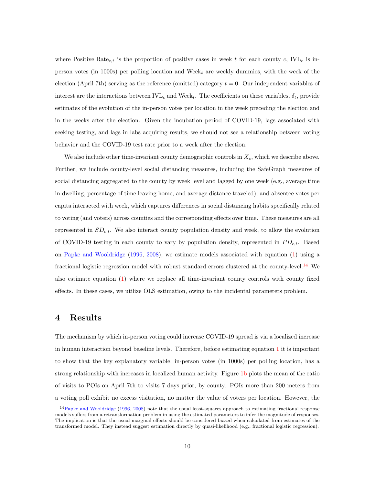where Positive Rate<sub>c,t</sub> is the proportion of positive cases in week t for each county c,  $IVL<sub>c</sub>$  is inperson votes (in 1000s) per polling location and Week $_t$  are weekly dummies, with the week of the election (April 7th) serving as the reference (omitted) category  $t = 0$ . Our independent variables of interest are the interactions between  $IVL_c$  and Week<sub>t</sub>. The coefficients on these variables,  $\delta_t$ , provide estimates of the evolution of the in-person votes per location in the week preceding the election and in the weeks after the election. Given the incubation period of COVID-19, lags associated with seeking testing, and lags in labs acquiring results, we should not see a relationship between voting behavior and the COVID-19 test rate prior to a week after the election.

We also include other time-invariant county demographic controls in  $X_c$ , which we describe above. Further, we include county-level social distancing measures, including the SafeGraph measures of social distancing aggregated to the county by week level and lagged by one week (e.g., average time in dwelling, percentage of time leaving home, and average distance traveled), and absentee votes per capita interacted with week, which captures differences in social distancing habits specifically related to voting (and voters) across counties and the corresponding effects over time. These measures are all represented in  $SD_{c,t}$ . We also interact county population density and week, to allow the evolution of COVID-19 testing in each county to vary by population density, represented in  $PD_{c,t}$ . Based on [Papke and Wooldridge](#page-17-8) [\(1996,](#page-17-8) [2008\)](#page-17-9), we estimate models associated with equation [\(1\)](#page-9-3) using a fractional logistic regression model with robust standard errors clustered at the county-level.<sup>[14](#page-10-0)</sup> We also estimate equation [\(1\)](#page-9-3) where we replace all time-invariant county controls with county fixed effects. In these cases, we utilize OLS estimation, owing to the incidental parameters problem.

## 4 Results

The mechanism by which in-person voting could increase COVID-19 spread is via a localized increase in human interaction beyond baseline levels. Therefore, before estimating equation [1](#page-9-3) it is important to show that the key explanatory variable, in-person votes (in 1000s) per polling location, has a strong relationship with increases in localized human activity. Figure [1b](#page-19-0) plots the mean of the ratio of visits to POIs on April 7th to visits 7 days prior, by county. POIs more than 200 meters from a voting poll exhibit no excess visitation, no matter the value of voters per location. However, the

<span id="page-10-0"></span><sup>14</sup>[Papke and Wooldridge](#page-17-8) [\(1996,](#page-17-8) [2008\)](#page-17-9) note that the usual least-squares approach to estimating fractional response models suffers from a retransformation problem in using the estimated parameters to infer the magnitude of responses. The implication is that the usual marginal effects should be considered biased when calculated from estimates of the transformed model. They instead suggest estimation directly by quasi-likelihood (e.g., fractional logistic regression).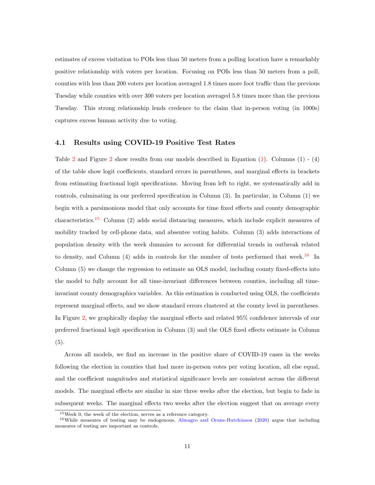estimates of excess visitation to POIs less than 50 meters from a polling location have a remarkably positive relationship with voters per location. Focusing on POIs less than 50 meters from a poll, counties with less than 200 voters per location averaged 1.8 times more foot traffic than the previous Tuesday while counties with over 300 voters per location averaged 5.8 times more than the previous Tuesday. This strong relationship lends credence to the claim that in-person voting (in 1000s) captures excess human activity due to voting.

#### 4.1 Results using COVID-19 Positive Test Rates

Table [2](#page-23-0) and Figure [2](#page-20-0) show results from our models described in Equation [\(1\)](#page-9-3). Columns (1) - (4) of the table show logit coefficients, standard errors in parentheses, and marginal effects in brackets from estimating fractional logit specifications. Moving from left to right, we systematically add in controls, culminating in our preferred specification in Column (3). In particular, in Column (1) we begin with a parsimonious model that only accounts for time fixed effects and county demographic characteristics.[15](#page-11-0) Column (2) adds social distancing measures, which include explicit measures of mobility tracked by cell-phone data, and absentee voting habits. Column (3) adds interactions of population density with the week dummies to account for differential trends in outbreak related to density, and Column (4) adds in controls for the number of tests performed that week.<sup>[16](#page-11-1)</sup> In Column (5) we change the regression to estimate an OLS model, including county fixed-effects into the model to fully account for all time-invariant differences between counties, including all timeinvariant county demographics variables. As this estimation is conducted using OLS, the coefficients represent marginal effects, and we show standard errors clustered at the county level in parentheses. In Figure [2,](#page-20-0) we graphically display the marginal effects and related 95% confidence intervals of our preferred fractional logit specification in Column (3) and the OLS fixed effects estimate in Column (5).

Across all models, we find an increase in the positive share of COVID-19 cases in the weeks following the election in counties that had more in-person votes per voting location, all else equal, and the coefficient magnitudes and statistical significance levels are consistent across the different models. The marginal effects are similar in size three weeks after the election, but begin to fade in subsequent weeks. The marginal effects two weeks after the election suggest that on average every

<span id="page-11-1"></span><span id="page-11-0"></span> $15$ Week 0, the week of the election, serves as a reference category.

<sup>&</sup>lt;sup>16</sup>While measures of testing may be endogenous, [Almagro and Orane-Hutchinson](#page-15-1) [\(2020\)](#page-15-1) argue that including measures of testing are important as controls.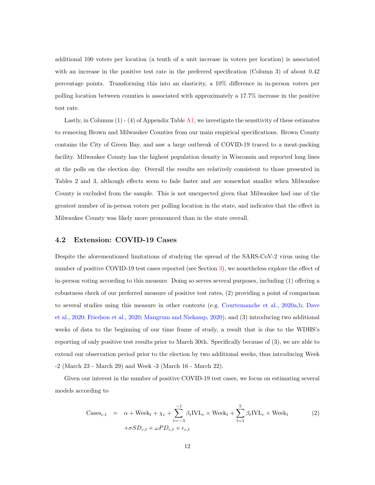additional 100 voters per location (a tenth of a unit increase in voters per location) is associated with an increase in the positive test rate in the preferred specification (Column 3) of about  $0.42$ percentage points. Transforming this into an elasticity, a 10% difference in in-person voters per polling location between counties is associated with approximately a 17.7% increase in the positive test rate.

Lastly, in Columns  $(1)$  -  $(4)$  of Appendix Table [A1,](#page-30-0) we investigate the sensitivity of these estimates to removing Brown and Milwaukee Counties from our main empirical specifications. Brown County contains the City of Green Bay, and saw a large outbreak of COVID-19 traced to a meat-packing facility. Milwaukee County has the highest population density in Wisconsin and reported long lines at the polls on the election day. Overall the results are relatively consistent to those presented in Tables 2 and 3, although effects seem to fade faster and are somewhat smaller when Milwaukee County is excluded from the sample. This is not unexpected given that Milwaukee had one of the greatest number of in-person voters per polling location in the state, and indicates that the effect in Milwaukee County was likely more pronounced than in the state overall.

#### <span id="page-12-0"></span>4.2 Extension: COVID-19 Cases

Despite the aforementioned limitations of studying the spread of the SARS-CoV-2 virus using the number of positive COVID-19 test cases reported (see Section [3\)](#page-8-2), we nonetheless explore the effect of in-person voting according to this measure. Doing so serves several purposes, including (1) offering a robustness check of our preferred measure of positive test rates, (2) providing a point of comparison to several studies using this measure in other contexts (e.g. [Courtemanche et al.,](#page-16-4) [2020a,](#page-16-4)[b;](#page-16-5) [Dave](#page-16-6) [et al.,](#page-16-6) [2020;](#page-16-6) [Friedson et al.,](#page-16-8) [2020;](#page-16-8) [Mangrum and Niekamp,](#page-17-2) [2020\)](#page-17-2), and (3) introducing two additional weeks of data to the beginning of our time frame of study, a result that is due to the WDHS's reporting of only positive test results prior to March 30th. Specifically because of (3), we are able to extend our observation period prior to the election by two additional weeks, thus introducing Week -2 (March 23 - March 29) and Week -3 (March 16 - March 22).

Given our interest in the number of positive COVID-19 test cases, we focus on estimating several models according to

<span id="page-12-1"></span>
$$
\text{Cases}_{c,t} = \alpha + \text{Week}_t + \chi_c + \sum_{t=-3}^{-1} \beta_t \text{IVL}_c \times \text{Week}_t + \sum_{t=1}^{5} \beta_t \text{IVL}_c \times \text{Week}_t
$$
  
+ $\sigma SD_{c,t} + \omega PD_{c,t} + \epsilon_{c,t}$  (2)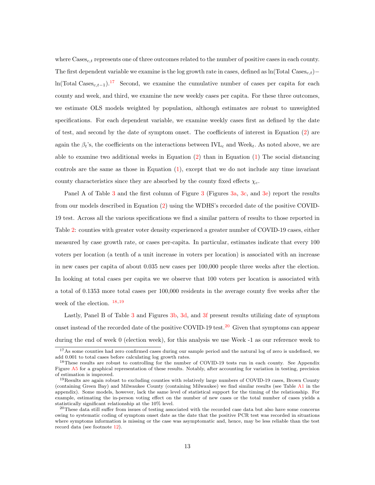where  $\text{Caes}_{c,t}$  represents one of three outcomes related to the number of positive cases in each county. The first dependent variable we examine is the log growth rate in cases, defined as ln(Total Cases<sub>c+</sub>)− ln(Total Cases<sub>c,t−1</sub>).<sup>[17](#page-13-0)</sup> Second, we examine the cumulative number of cases per capita for each county and week, and third, we examine the new weekly cases per capita. For these three outcomes, we estimate OLS models weighted by population, although estimates are robust to unweighted specifications. For each dependent variable, we examine weekly cases first as defined by the date of test, and second by the date of symptom onset. The coefficients of interest in Equation [\(2\)](#page-12-1) are again the  $\beta_t$ 's, the coefficients on the interactions between IVL<sub>c</sub> and Week<sub>t</sub>. As noted above, we are able to examine two additional weeks in Equation  $(2)$  than in Equation  $(1)$  The social distancing controls are the same as those in Equation [\(1\)](#page-9-3), except that we do not include any time invariant county characteristics since they are absorbed by the county fixed effects  $\chi_c$ .

Panel A of Table [3](#page-21-0) and the first column of Figure 3 (Figures [3a,](#page-21-0) [3c,](#page-21-0) and [3e\)](#page-21-0) report the results from our models described in Equation [\(2\)](#page-12-1) using the WDHS's recorded date of the positive COVID-19 test. Across all the various specifications we find a similar pattern of results to those reported in Table [2:](#page-23-0) counties with greater voter density experienced a greater number of COVID-19 cases, either measured by case growth rate, or cases per-capita. In particular, estimates indicate that every 100 voters per location (a tenth of a unit increase in voters per location) is associated with an increase in new cases per capita of about 0.035 new cases per 100,000 people three weeks after the election. In looking at total cases per capita we we observe that 100 voters per location is associated with a total of 0.1353 more total cases per 100,000 residents in the average county five weeks after the week of the election. [18,](#page-13-1)[19](#page-13-2)

Lastly, Panel B of Table [3](#page-24-0) and Figures [3b,](#page-21-0) [3d,](#page-21-0) and [3f](#page-21-0) present results utilizing date of symptom onset instead of the recorded date of the positive COVID-19 test.<sup>[20](#page-13-3)</sup> Given that symptoms can appear during the end of week 0 (election week), for this analysis we use Week -1 as our reference week to

<span id="page-13-0"></span><sup>17</sup>As some counties had zero confirmed cases during our sample period and the natural log of zero is undefined, we add 0.001 to total cases before calculating log growth rates.

<span id="page-13-1"></span><sup>&</sup>lt;sup>18</sup>These results are robust to controlling for the number of COVID-19 tests run in each county. See Appendix Figure [A5](#page-29-0) for a graphical representation of these results. Notably, after accounting for variation in testing, precision of estimation is improved.

<span id="page-13-2"></span><sup>&</sup>lt;sup>19</sup>Results are again robust to excluding counties with relatively large numbers of COVID-19 cases, Brown County (containing Green Bay) and Milwaukee County (containing Milwaukee) we find similar results (see Table [A1](#page-30-0) in the appendix). Some models, however, lack the same level of statistical support for the timing of the relationship. For example, estimating the in-person voting effect on the number of new cases or the total number of cases yields a statistically significant relationship at the 10% level.

<span id="page-13-3"></span> $^{20}$ These data still suffer from issues of testing associated with the recorded case data but also have some concerns owing to systematic coding of symptom onset date as the date that the positive PCR test was recorded in situations where symptoms information is missing or the case was asymptomatic and, hence, may be less reliable than the test record data (see footnote [12\)](#page-9-1).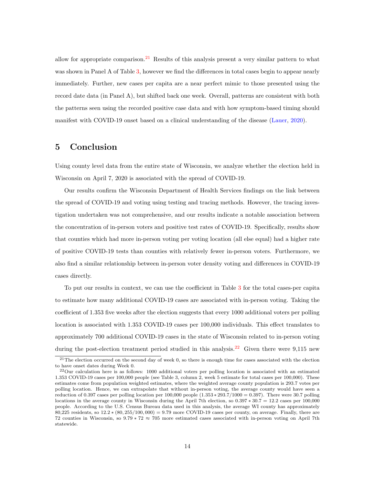allow for appropriate comparison.<sup>[21](#page-14-0)</sup> Results of this analysis present a very similar pattern to what was shown in Panel A of Table [3,](#page-24-0) however we find the differences in total cases begin to appear nearly immediately. Further, new cases per capita are a near perfect mimic to those presented using the record date data (in Panel A), but shifted back one week. Overall, patterns are consistent with both the patterns seen using the recorded positive case data and with how symptom-based timing should manifest with COVID-19 onset based on a clinical understanding of the disease [\(Lauer,](#page-17-7) [2020\)](#page-17-7).

## 5 Conclusion

Using county level data from the entire state of Wisconsin, we analyze whether the election held in Wisconsin on April 7, 2020 is associated with the spread of COVID-19.

Our results confirm the Wisconsin Department of Health Services findings on the link between the spread of COVID-19 and voting using testing and tracing methods. However, the tracing investigation undertaken was not comprehensive, and our results indicate a notable association between the concentration of in-person voters and positive test rates of COVID-19. Specifically, results show that counties which had more in-person voting per voting location (all else equal) had a higher rate of positive COVID-19 tests than counties with relatively fewer in-person voters. Furthermore, we also find a similar relationship between in-person voter density voting and differences in COVID-19 cases directly.

To put our results in context, we can use the coefficient in Table [3](#page-24-0) for the total cases-per capita to estimate how many additional COVID-19 cases are associated with in-person voting. Taking the coefficient of 1.353 five weeks after the election suggests that every 1000 additional voters per polling location is associated with 1.353 COVID-19 cases per 100,000 individuals. This effect translates to approximately 700 additional COVID-19 cases in the state of Wisconsin related to in-person voting during the post-election treatment period studied in this analysis.<sup>[22](#page-14-1)</sup> Given there were 9.115 new

<span id="page-14-0"></span> $21$ The election occurred on the second day of week 0, so there is enough time for cases associated with the election to have onset dates during Week 0.

<span id="page-14-1"></span> $^{22}$ Our calculation here is as follows: 1000 additional voters per polling location is associated with an estimated 1.353 COVID-19 cases per 100,000 people (see Table 3, column 2, week 5 estimate for total cases per 100,000). These estimates come from population weighted estimates, where the weighted average county population is 293.7 votes per polling location. Hence, we can extrapolate that without in-person voting, the average county would have seen a reduction of 0.397 cases per polling location per  $100,000$  people  $(1.353 * 293.7/1000 = 0.397)$ . There were 30.7 polling locations in the average county in Wisconsin during the April 7th election, so 0.397 ∗ 30.7 = 12.2 cases per 100,000 people. According to the U.S. Census Bureau data used in this analysis, the average WI county has approximately 80,225 residents, so 12.2 ∗ (80, 255/100, 000) = 9.79 more COVID-19 cases per county, on average. Finally, there are 72 counties in Wisconsin, so 9.79 ∗ 72 ≈ 705 more estimated cases associated with in-person voting on April 7th statewide.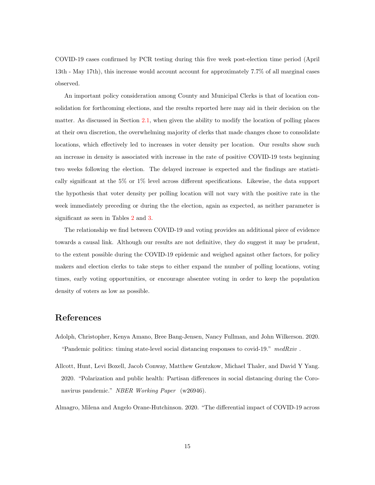COVID-19 cases confirmed by PCR testing during this five week post-election time period (April 13th - May 17th), this increase would account account for approximately 7.7% of all marginal cases observed.

An important policy consideration among County and Municipal Clerks is that of location consolidation for forthcoming elections, and the results reported here may aid in their decision on the matter. As discussed in Section [2.1,](#page-5-4) when given the ability to modify the location of polling places at their own discretion, the overwhelming majority of clerks that made changes chose to consolidate locations, which effectively led to increases in voter density per location. Our results show such an increase in density is associated with increase in the rate of positive COVID-19 tests beginning two weeks following the election. The delayed increase is expected and the findings are statistically significant at the 5% or 1% level across different specifications. Likewise, the data support the hypothesis that voter density per polling location will not vary with the positive rate in the week immediately preceding or during the the election, again as expected, as neither parameter is significant as seen in Tables [2](#page-23-0) and [3.](#page-24-0)

The relationship we find between COVID-19 and voting provides an additional piece of evidence towards a causal link. Although our results are not definitive, they do suggest it may be prudent, to the extent possible during the COVID-19 epidemic and weighed against other factors, for policy makers and election clerks to take steps to either expand the number of polling locations, voting times, early voting opportunities, or encourage absentee voting in order to keep the population density of voters as low as possible.

# References

- <span id="page-15-2"></span>Adolph, Christopher, Kenya Amano, Bree Bang-Jensen, Nancy Fullman, and John Wilkerson. 2020. "Pandemic politics: timing state-level social distancing responses to covid-19."  $medRxiv$ .
- <span id="page-15-0"></span>Allcott, Hunt, Levi Boxell, Jacob Conway, Matthew Gentzkow, Michael Thaler, and David Y Yang. 2020. "Polarization and public health: Partisan differences in social distancing during the Coronavirus pandemic." NBER Working Paper (w26946).

<span id="page-15-1"></span>Almagro, Milena and Angelo Orane-Hutchinson. 2020. "The differential impact of COVID-19 across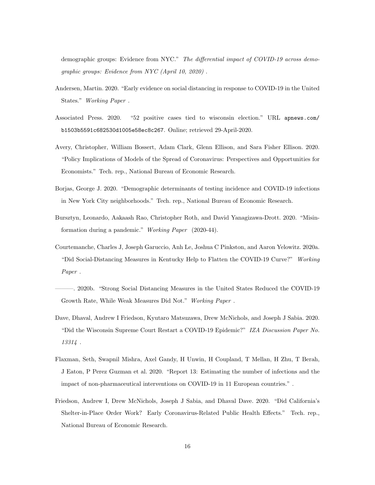demographic groups: Evidence from NYC." The differential impact of COVID-19 across demographic groups: Evidence from NYC (April 10, 2020) .

- <span id="page-16-7"></span>Andersen, Martin. 2020. "Early evidence on social distancing in response to COVID-19 in the United States." Working Paper .
- <span id="page-16-0"></span>Associated Press. 2020. "52 positive cases tied to wisconsin election." URL [apnews.com/](apnews.com/b1503b5591c682530d1005e58ec8c267) [b1503b5591c682530d1005e58ec8c267](apnews.com/b1503b5591c682530d1005e58ec8c267). Online; retrieved 29-April-2020.
- <span id="page-16-2"></span>Avery, Christopher, William Bossert, Adam Clark, Glenn Ellison, and Sara Fisher Ellison. 2020. "Policy Implications of Models of the Spread of Coronavirus: Perspectives and Opportunities for Economists." Tech. rep., National Bureau of Economic Research.
- <span id="page-16-9"></span>Borjas, George J. 2020. "Demographic determinants of testing incidence and COVID-19 infections in New York City neighborhoods." Tech. rep., National Bureau of Economic Research.
- <span id="page-16-3"></span>Bursztyn, Leonardo, Aakaash Rao, Christopher Roth, and David Yanagizawa-Drott. 2020. "Misinformation during a pandemic." Working Paper (2020-44).
- <span id="page-16-4"></span>Courtemanche, Charles J, Joseph Garuccio, Anh Le, Joshua C Pinkston, and Aaron Yelowitz. 2020a. "Did Social-Distancing Measures in Kentucky Help to Flatten the COVID-19 Curve?" Working Paper .
- <span id="page-16-5"></span>———. 2020b. "Strong Social Distancing Measures in the United States Reduced the COVID-19 Growth Rate, While Weak Measures Did Not." Working Paper .
- <span id="page-16-6"></span>Dave, Dhaval, Andrew I Friedson, Kyutaro Matsuzawa, Drew McNichols, and Joseph J Sabia. 2020. "Did the Wisconsin Supreme Court Restart a COVID-19 Epidemic?" IZA Discussion Paper No. 13314 .
- <span id="page-16-1"></span>Flaxman, Seth, Swapnil Mishra, Axel Gandy, H Unwin, H Coupland, T Mellan, H Zhu, T Berah, J Eaton, P Perez Guzman et al. 2020. "Report 13: Estimating the number of infections and the impact of non-pharmaceutical interventions on COVID-19 in 11 European countries." .
- <span id="page-16-8"></span>Friedson, Andrew I, Drew McNichols, Joseph J Sabia, and Dhaval Dave. 2020. "Did California's Shelter-in-Place Order Work? Early Coronavirus-Related Public Health Effects." Tech. rep., National Bureau of Economic Research.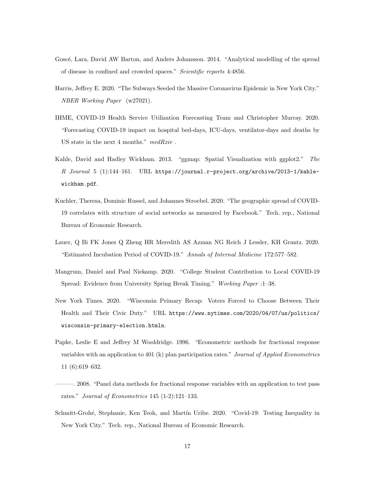- <span id="page-17-5"></span>Goscé, Lara, David AW Barton, and Anders Johansson. 2014. "Analytical modelling of the spread of disease in confined and crowded spaces." Scientific reports 4:4856.
- <span id="page-17-3"></span>Harris, Jeffrey E. 2020. "The Subways Seeded the Massive Coronavirus Epidemic in New York City." NBER Working Paper (w27021).
- <span id="page-17-1"></span>IHME, COVID-19 Health Service Utilization Forecasting Team and Christopher Murray. 2020. "Forecasting COVID-19 impact on hospital bed-days, ICU-days, ventilator-days and deaths by US state in the next 4 months." medRxiv .
- <span id="page-17-10"></span>Kahle, David and Hadley Wickham. 2013. "ggmap: Spatial Visualization with ggplot2." The R Journal 5 (1):144–161. URL [https://journal.r-project.org/archive/2013-1/kahle](https://journal.r-project.org/archive/2013-1/kahle-wickham.pdf)[wickham.pdf](https://journal.r-project.org/archive/2013-1/kahle-wickham.pdf).
- <span id="page-17-4"></span>Kuchler, Theresa, Dominic Russel, and Johannes Stroebel. 2020. "The geographic spread of COVID-19 correlates with structure of social networks as measured by Facebook." Tech. rep., National Bureau of Economic Research.
- <span id="page-17-7"></span>Lauer, Q Bi FK Jones Q Zheng HR Meredith AS Azman NG Reich J Lessler, KH Grantz. 2020. "Estimated Incubation Period of COVID-19." Annals of Internal Medicine 172:577–582.
- <span id="page-17-2"></span>Mangrum, Daniel and Paul Niekamp. 2020. "College Student Contribution to Local COVID-19 Spread: Evidence from University Spring Break Timing." Working Paper :1–38.
- <span id="page-17-0"></span>New York Times. 2020. "Wisconsin Primary Recap: Voters Forced to Choose Between Their Health and Their Civic Duty." URL [https://www.nytimes.com/2020/04/07/us/politics/](https://www.nytimes.com/2020/04/07/us/politics/wisconsin-primary-election.htmln) [wisconsin-primary-election.htmln](https://www.nytimes.com/2020/04/07/us/politics/wisconsin-primary-election.htmln).
- <span id="page-17-8"></span>Papke, Leslie E and Jeffrey M Wooldridge. 1996. "Econometric methods for fractional response variables with an application to 401 (k) plan participation rates." Journal of Applied Econometrics 11 (6):619–632.
- <span id="page-17-9"></span>———. 2008. "Panel data methods for fractional response variables with an application to test pass rates." Journal of Econometrics 145 (1-2):121–133.
- <span id="page-17-6"></span>Schmitt-Grohé, Stephanie, Ken Teoh, and Martín Uribe. 2020. "Covid-19: Testing Inequality in New York City." Tech. rep., National Bureau of Economic Research.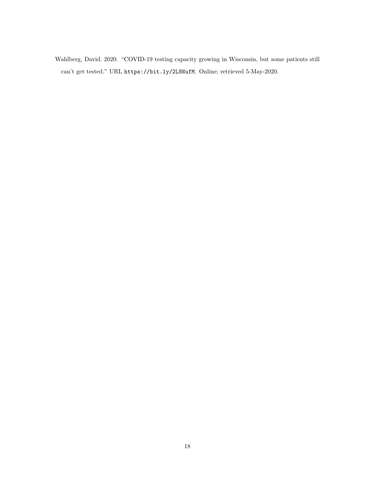Wahlberg, David. 2020. "COVID-19 testing capacity growing in Wisconsin, but some patients still can't get tested." URL <https://bit.ly/2L8NufM>. Online; retrieved 5-May-2020.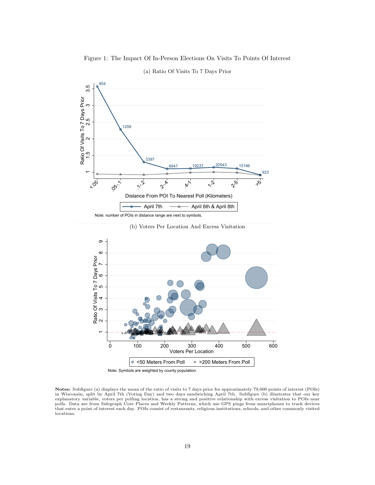<span id="page-19-0"></span>

# 854 and the contract of the contract of the contract of the contract of the contract of the contract of the contract of the contract of the contract of the contract of the contract of the contract of the contract of the co 1208 3397 6947 20237 20543 15186  $\overline{\phantom{0}}$ 4. 3397<br>- 3397<br>- <sup>6947</sup> - <sup>19237</sup> - <sup>20543</sup> - <sup>15186</sup> 923  $\scriptstyle\sim$  $\frac{25}{1208}$ ო Ratio Of Visits To 7 Days Prior<br>
1.5 2.2 2.5 3<br>
1.5 2.2 2.5 3.997<br>
1.2008  $r_{Q_2}$   $r_{Q_3}$ ,  $r_{Q_4}$   $r_{Q_5}$   $r_{Q_6}$   $r_{Q_7}$   $r_{Q_8}$   $r_{Q_9}$   $r_{Q_1}$  $x_{\mu}$  .  $x_{\mu}$  .  $x_{\mu}$  .  $x_{\mu}$  .  $x_{\mu}$  .  $x_{\mu}$  $\gamma^5$   $\gamma^5$ Distance From POI To Nearest Poll (Kilometers) April 7th  $\longrightarrow$  April 6th & April 8th

#### (a) Ratio Of Visits To 7 Days Prior

Note: number of POIs in distance range are next to symbols.





Notes: Subfigure (a) displays the mean of the ratio of visits to 7 days prior for approximately 79,000 points of interest (POIs)<br>in Wisconsin, split by April 7th (Voting Day) and two days sandwiching April 7th. Subfigure ( explanatory variable, voters per polling location, has a strong and positive relationship with excess visitation to POIs near polls. Data are from Safegraph Core Places and Weekly Patterns, which use GPS pings from smartphones to track devices that enter a point of interest each day. POIs consist of restaurants, religious institutions, schools, and other commonly visited locations.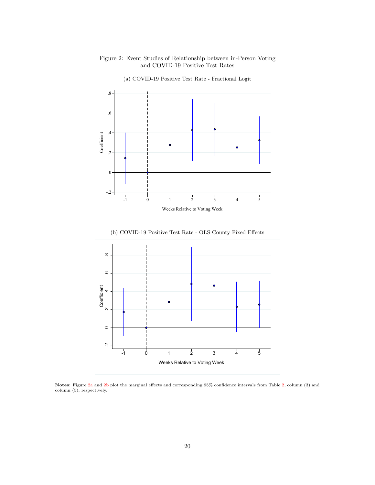#### <span id="page-20-0"></span>Figure 2: Event Studies of Relationship between in-Person Voting and COVID-19 Positive Test Rates



(a) COVID-19 Positive Test Rate - Fractional Logit





Notes: Figure [2a](#page-20-0) and [2b](#page-20-0) plot the marginal effects and corresponding 95% confidence intervals from Table [2,](#page-23-0) column (3) and column (5), respectively.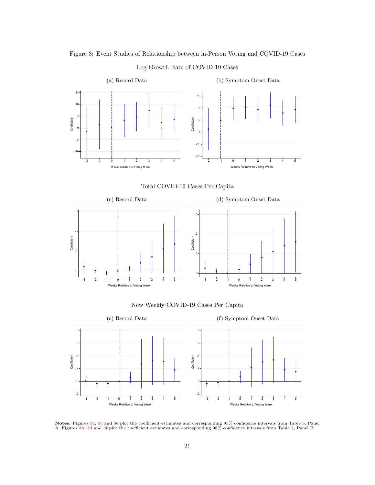<span id="page-21-0"></span>

#### Log Growth Rate of COVID-19 Cases







#### New Weekly COVID-19 Cases Per Capita



Notes: Figures [3a,](#page-21-0) [3c](#page-21-0) and [3e](#page-21-0) plot the coefficient estimates and corresponding 95% confidence intervals from Table [3,](#page-24-0) Panel A. Figures [3b,](#page-21-0) [3d](#page-21-0) and [3f](#page-21-0) plot the coefficient estimates and corresponding 95% confidence intervals from Table [3,](#page-24-0) Panel B.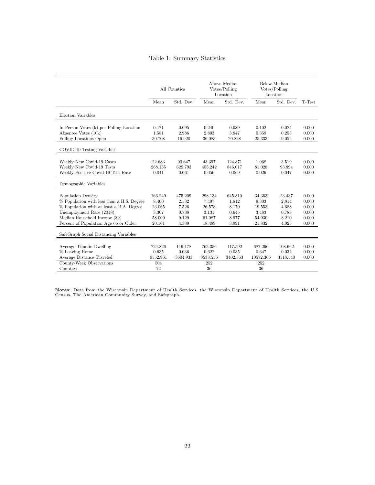# Table 1: Summary Statistics

<span id="page-22-0"></span>

|                                                                                                                                                                                                                          | All Counties                                            |                                                      | Above Median<br>Votes/Polling<br>Location               |                                                      | Below Median<br>Votes/Polling<br>Location              |                                                     |                                                    |
|--------------------------------------------------------------------------------------------------------------------------------------------------------------------------------------------------------------------------|---------------------------------------------------------|------------------------------------------------------|---------------------------------------------------------|------------------------------------------------------|--------------------------------------------------------|-----------------------------------------------------|----------------------------------------------------|
|                                                                                                                                                                                                                          | Mean                                                    | Std. Dev.                                            | Mean                                                    | Std. Dev.                                            | Mean                                                   | Std. Dev.                                           | T-Test                                             |
| Election Variables                                                                                                                                                                                                       |                                                         |                                                      |                                                         |                                                      |                                                        |                                                     |                                                    |
| In-Person Votes (k) per Polling Location<br>Absentee Votes (10k)<br>Polling Locations Open                                                                                                                               | 0.171<br>1.581<br>30.708                                | 0.095<br>2.986<br>16.920                             | 0.240<br>2.803<br>36.083                                | 0.089<br>3.847<br>20.828                             | 0.102<br>0.359<br>25.333                               | 0.024<br>0.255<br>9.052                             | 0.000<br>0.000<br>0.000                            |
| COVID-19 Testing Variables                                                                                                                                                                                               |                                                         |                                                      |                                                         |                                                      |                                                        |                                                     |                                                    |
| Weekly New Covid-19 Cases<br>Weekly New Covid-19 Tests<br>Weekly Positive Covid-19 Test Rate<br>Demographic Variables                                                                                                    | 22.683<br>268.135<br>0.041                              | 90.647<br>629.793<br>0.061                           | 43.397<br>455.242<br>0.056                              | 124.871<br>846.017<br>0.069                          | 1.968<br>81.028<br>0.026                               | 3.519<br>93.894<br>0.047                            | 0.000<br>0.000<br>0.000                            |
| <b>Population Density</b><br>% Population with less than a H.S. Degree<br>% Population with at least a B.A. Degree<br>Unemployment Rate (2018)<br>Median Household Income (\$k)<br>Percent of Population Age 65 or Older | 166.249<br>8.400<br>23.065<br>3.307<br>58.009<br>20.161 | 475.209<br>2.532<br>7.526<br>0.738<br>9.129<br>4.339 | 298.134<br>7.497<br>26.578<br>3.131<br>61.087<br>18.489 | 645.810<br>1.812<br>8.170<br>0.645<br>8.977<br>3.991 | 34.363<br>9.303<br>19.553<br>3.483<br>54.930<br>21.832 | 23.437<br>2.814<br>4.688<br>0.783<br>8.210<br>4.025 | 0.000<br>0.000<br>0.000<br>0.000<br>0.000<br>0.000 |
| SafeGraph Social Distancing Variables                                                                                                                                                                                    |                                                         |                                                      |                                                         |                                                      |                                                        |                                                     |                                                    |
| Average Time in Dwelling<br>% Leaving Home<br>Average Distance Traveled<br>County-Week Observations<br>Counties                                                                                                          | 724.826<br>0.635<br>9552.961<br>504<br>72               | 119.178<br>0.036<br>3604.933                         | 762.356<br>0.622<br>8533.556<br>252<br>36               | 117.592<br>0.035<br>3402.363                         | 687.296<br>0.647<br>10572.366<br>252<br>36             | 108.662<br>0.032<br>3518.540                        | 0.000<br>0.000<br>0.000                            |

Notes: Data from the Wisconsin Department of Health Services, the Wisconsin Department of Health Services, the U.S. Census, The American Community Survey, and Safegraph.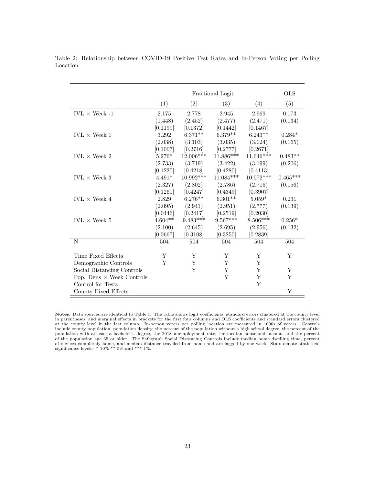<span id="page-23-1"></span>

|                                  |           | <b>OLS</b>  |                         |             |            |
|----------------------------------|-----------|-------------|-------------------------|-------------|------------|
|                                  | (1)       | (2)         | Fractional Logit<br>(3) | (4)         | (5)        |
|                                  |           |             |                         |             |            |
| $IVL \times Week -1$             | 2.175     | 2.778       | 2.945                   | 2.969       | 0.173      |
|                                  | (1.448)   | (2.452)     | (2.477)                 | (2.471)     | (0.134)    |
|                                  | [0.1199]  | [0.1372]    | [0.1442]                | [0.1467]    |            |
| IVL $\times$ Week 1              | 3.292     | $6.371**$   | $6.379**$               | $6.243**$   | $0.284*$   |
|                                  | (2.038)   | (3.103)     | (3.035)                 | (3.024)     | (0.165)    |
|                                  | [0.1007]  | [0.2716]    | [0.2777]                | [0.2671]    |            |
| IVL $\times$ Week 2              | $5.276*$  | 12.006***   | $11.886***$             | $11.646***$ | $0.483**$  |
|                                  | (2.733)   | (3.719)     | (3.422)                 | (3.199)     | (0.206)    |
|                                  | [0.1220]  | [0.4218]    | [0.4280]                | [0.4113]    |            |
| IVL $\times$ Week 3              | $4.491*$  | $10.992***$ | $11.084***$             | $10.072***$ | $0.465***$ |
|                                  | (2.327)   | (2.802)     | (2.786)                 | (2.716)     | (0.156)    |
|                                  | [0.1261]  | [0.4247]    | [0.4349]                | [0.3907]    |            |
| IVL $\times$ Week 4              | 2.829     | $6.276**$   | $6.301**$               | $5.059*$    | 0.231      |
|                                  | (2.095)   | (2.941)     | (2.951)                 | (2.777)     | (0.139)    |
|                                  | [0.0446]  | [0.2417]    | [0.2519]                | [0.2030]    |            |
| IVL $\times$ Week 5              | $4.604**$ | $9.483***$  | $9.567***$              | $8.506***$  | $0.256*$   |
|                                  | (2.100)   | (2.645)     | (2.695)                 | (2.956)     | (0.132)    |
|                                  | [0.0667]  | [0.3108]    | [0.3250]                | [0.2839]    |            |
| $\overline{\text{N}}$            | 504       | 504         | 504                     | 504         | 504        |
|                                  |           |             |                         |             |            |
| Time Fixed Effects               | Υ         | Y           | Y                       | Y           | Υ          |
| Demographic Controls             | Y         | Y           | Y                       | Y           |            |
| Social Distancing Controls       |           | Y           | Y                       | Y           | Υ          |
| Pop. Dens $\times$ Week Controls |           |             | Y                       | Y           | Y          |
| Control for Tests                |           |             |                         | Y           |            |
| County Fixed Effects             |           |             |                         |             | Y          |

<span id="page-23-0"></span>Table 2: Relationship between COVID-19 Positive Test Rates and In-Person Voting per Polling Location

Notes: Data sources are identical to Table [1.](#page-22-0) The table shows logit coefficients, standard errors clustered at the county level<br>in parentheses, and marginal effects in brackets for the first four columns and OLS coefficien population with at least a bachelor's degree, the 2018 unemployment rate, the median household income, and the percent of the population age 65 or older. The Safegraph Social Distancing Controls include median home dwelling time, percent of devices completely home, and median distance traveled from home and are lagged by one week. Stars denote statistical significance levels: \* 10% \*\* 5% and \*\*\* 1%.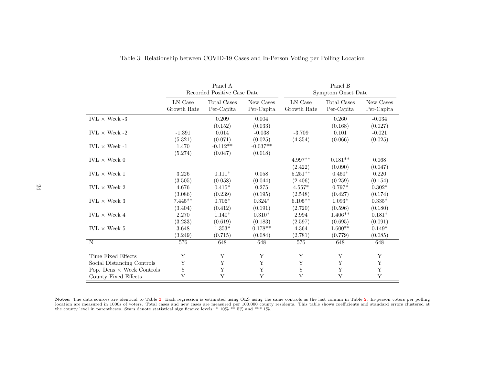|                                  | Panel A<br>Recorded Positive Case Date |                       |                       | Panel B<br>Symptom Onset Date |                      |                     |  |
|----------------------------------|----------------------------------------|-----------------------|-----------------------|-------------------------------|----------------------|---------------------|--|
|                                  | LN Case                                | Total Cases           | New Cases             | LN Case                       | Total Cases          | New Cases           |  |
|                                  | Growth Rate                            | Per-Capita            | Per-Capita            | Growth Rate                   | Per-Capita           | Per-Capita          |  |
| IVL $\times$ Week -3             |                                        | 0.209<br>(0.152)      | 0.004<br>(0.033)      |                               | 0.260<br>(0.168)     | $-0.034$<br>(0.027) |  |
| IVL $\times$ Week -2             | $-1.391$                               | 0.014                 | $-0.038$              | $-3.709$                      | 0.101                | $-0.021$            |  |
|                                  | (5.321)                                | (0.071)               | (0.025)               | (4.354)                       | (0.066)              | (0.025)             |  |
| $IVL \times Week -1$             | 1.470<br>(5.274)                       | $-0.112**$<br>(0.047) | $-0.037**$<br>(0.018) |                               |                      |                     |  |
| $IVL \times Week 0$              |                                        |                       |                       | $4.997**$<br>(2.422)          | $0.181**$<br>(0.090) | 0.068<br>(0.047)    |  |
| $IVL \times Week 1$              | 3.226                                  | $0.111*$              | 0.058                 | $5.251**$                     | $0.460*$             | 0.220               |  |
|                                  | (3.505)                                | (0.058)               | (0.044)               | (2.406)                       | (0.259)              | (0.154)             |  |
| IVL $\times$ Week 2              | 4.676                                  | $0.415*$              | 0.275                 | $4.557*$                      | $0.797*$             | $0.302*$            |  |
|                                  | (3.086)                                | (0.239)               | (0.195)               | (2.548)                       | (0.427)              | (0.174)             |  |
| IVL $\times$ Week 3              | $7.445**$                              | $0.706*$              | $0.324*$              | $6.105**$                     | $1.093*$             | $0.335*$            |  |
|                                  | (3.404)                                | (0.412)               | (0.191)               | (2.720)                       | (0.596)              | (0.180)             |  |
| IVL $\times$ Week 4              | 2.270                                  | $1.140*$              | $0.310*$              | 2.994                         | $1.406**$            | $0.181*$            |  |
|                                  | (3.233)                                | (0.619)               | (0.183)               | (2.597)                       | (0.695)              | (0.091)             |  |
| IVL $\times$ Week 5              | 3.648                                  | $1.353^{\ast}$        | $0.178**$             | 4.364                         | $1.600**$            | $0.149*$            |  |
|                                  | (3.249)                                | (0.715)               | (0.084)               | (2.781)                       | (0.779)              | (0.085)             |  |
| N                                | 576                                    | 648                   | 648                   | 576                           | 648                  | 648                 |  |
| Time Fixed Effects               | Y                                      | Y                     | Y                     | Y                             | Y                    | Y                   |  |
| Social Distancing Controls       | Y                                      | Y                     | Y                     | Y                             | Y                    | Y                   |  |
| Pop. Dens $\times$ Week Controls | Y                                      | Y                     | Y                     | $\mathbf Y$                   | $\mathbf Y$          | Y                   |  |
| County Fixed Effects             | Y                                      | Y                     | Y                     | Y                             | Y                    | Y                   |  |

Table 3: Relationship between COVID-19 Cases and In-Person Voting per Polling Location

<span id="page-24-0"></span>Notes: The data sources are identical to Table [2.](#page-23-1) Each regression is estimated using OLS using the same controls as the last column in Table 2. In-person voters per polling location are measured in 1000s of voters. Total c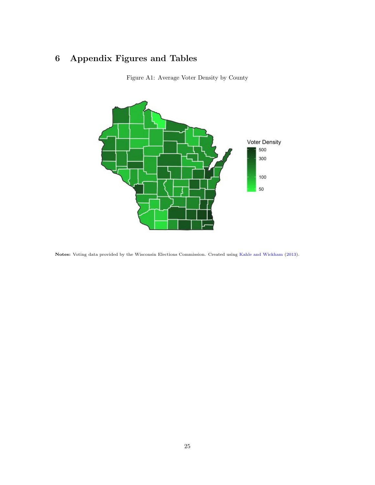# <span id="page-25-0"></span>6 Appendix Figures and Tables





Notes: Voting data provided by the Wisconsin Elections Commission. Created using [Kahle and Wickham](#page-17-10) [\(2013\)](#page-17-10).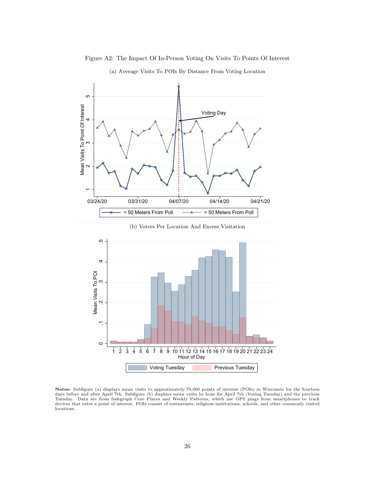

<span id="page-26-0"></span>Figure A2: The Impact Of In-Person Voting On Visits To Points Of Interest

(a) Average Visits To POIs By Distance From Voting Location

(b) Voters Per Location And Excess Visitation



Notes: Subfigure (a) displays mean visits to approximately 79,000 points of interest (POIs) in Wisconsin for the fourteen days before and after April 7th. Subfigure (b) displays mean visits by hour for April 7th (Voting Tuesday) and the previous Tuesday. Data are from Safegraph Core Places and Weekly Patterns, which use GPS pings from smartphones to track devices that enter a point of interest. POIs consist of restaurants, religious institutions, schools, and other commonly visited locations.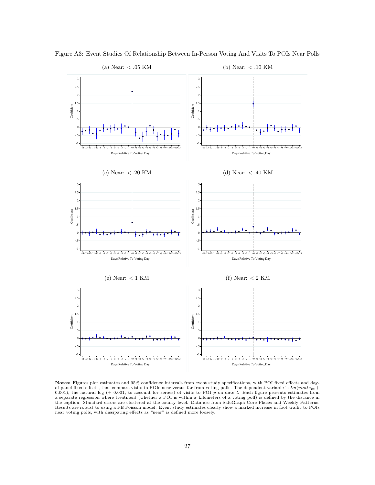

<span id="page-27-0"></span>Figure A3: Event Studies Of Relationship Between In-Person Voting And Visits To POIs Near Polls

Notes: Figures plot estimates and 95% confidence intervals from event study specifications, with POI fixed effects and dayof-panel fixed effects, that compare visits to POIs near versus far from voting polls. The dependent variable is  $Ln(visits_{pt} +$ 0.001), the natural log (+ 0.001, to account for zeroes) of visits to POI  $p$  on date t. Each figure presents estimates from a separate regression where treatment (whether a POI is within x kilometers of a voting poll) is defined by the distance in<br>the caption. Standard errors are clustered at the county level. Data are from SafeGraph Core Place Results are robust to using a FE Poisson model. Event study estimates clearly show a marked increase in foot traffic to POIs near voting polls, with dissipating effects as "near" is defined more loosely.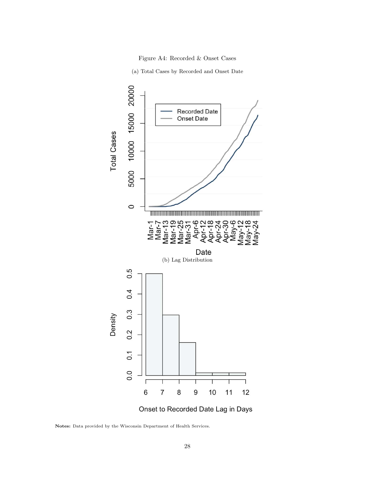

(a) Total Cases by Recorded and Onset Date

<span id="page-28-0"></span>

Onset to Recorded Date Lag in Days

Notes: Data provided by the Wisconsin Department of Health Services.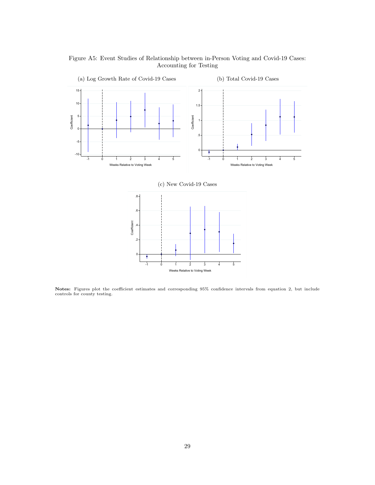<span id="page-29-0"></span>Figure A5: Event Studies of Relationship between in-Person Voting and Covid-19 Cases: Accounting for Testing



(c) New Covid-19 Cases



Notes: Figures plot the coefficient estimates and corresponding 95% confidence intervals from equation 2, but include controls for county testing.